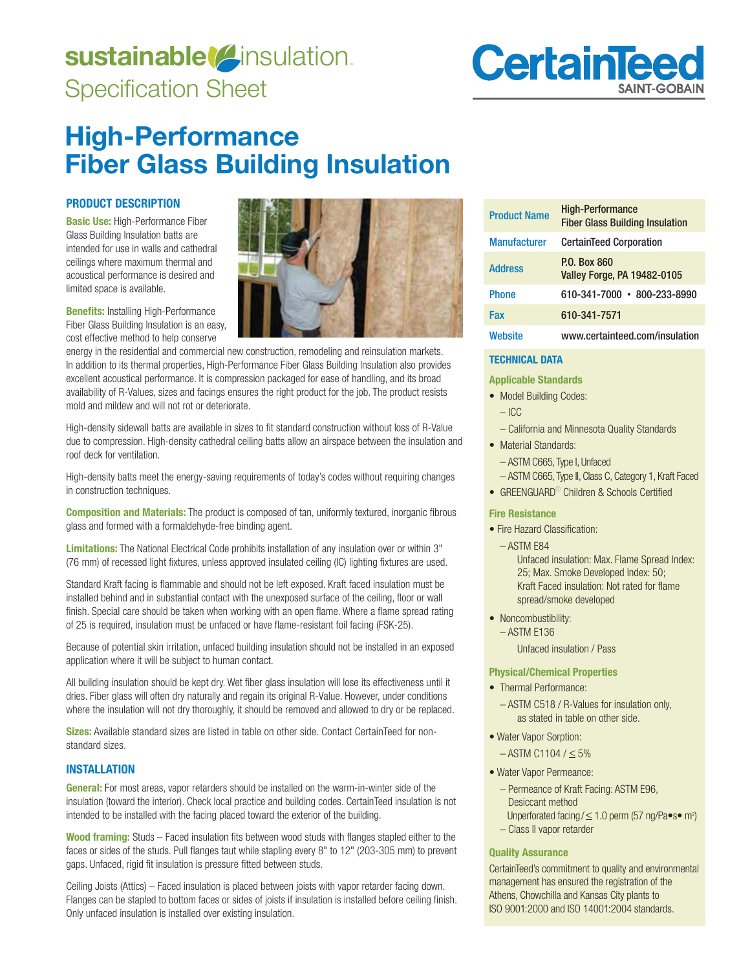# sustainable<sup>(2)</sup>insulation. Specification Sheet



## **High-Performance Fiber Glass Building Insulation**

## **PRODUCT DESCRIPTION**

**Basic Use:** High-Performance Fiber Glass Building Insulation batts are intended for use in walls and cathedral ceilings where maximum thermal and acoustical performance is desired and limited space is available.

**Benefits:** Installing High-Performance Fiber Glass Building Insulation is an easy, cost effective method to help conserve



energy in the residential and commercial new construction, remodeling and reinsulation markets. In addition to its thermal properties, High-Performance Fiber Glass Building Insulation also provides excellent acoustical performance. It is compression packaged for ease of handling, and its broad availability of R-Values, sizes and facings ensures the right product for the job. The product resists mold and mildew and will not rot or deteriorate.

High-density sidewall batts are available in sizes to fit standard construction without loss of R-Value due to compression. High-density cathedral ceiling batts allow an airspace between the insulation and roof deck for ventilation.

High-density batts meet the energy-saving requirements of today's codes without requiring changes in construction techniques.

**Composition and Materials:** The product is composed of tan, uniformly textured, inorganic fibrous glass and formed with a formaldehyde-free binding agent.

**Limitations:** The National Electrical Code prohibits installation of any insulation over or within 3" (76 mm) of recessed light fixtures, unless approved insulated ceiling (IC) lighting fixtures are used.

Standard Kraft facing is flammable and should not be left exposed. Kraft faced insulation must be installed behind and in substantial contact with the unexposed surface of the ceiling, floor or wall finish. Special care should be taken when working with an open flame. Where a flame spread rating of 25 is required, insulation must be unfaced or have flame-resistant foil facing (FSK-25).

Because of potential skin irritation, unfaced building insulation should not be installed in an exposed application where it will be subject to human contact.

All building insulation should be kept dry. Wet fiber glass insulation will lose its effectiveness until it dries. Fiber glass will often dry naturally and regain its original R-Value. However, under conditions where the insulation will not dry thoroughly, it should be removed and allowed to dry or be replaced.

**Sizes:** Available standard sizes are listed in table on other side. Contact CertainTeed for nonstandard sizes.

## **INSTALLATION**

**General:** For most areas, vapor retarders should be installed on the warm-in-winter side of the insulation (toward the interior). Check local practice and building codes. CertainTeed insulation is not intended to be installed with the facing placed toward the exterior of the building.

**Wood framing:** Studs – Faced insulation fits between wood studs with flanges stapled either to the faces or sides of the studs. Pull flanges taut while stapling every 8" to 12" (203-305 mm) to prevent gaps. Unfaced, rigid fit insulation is pressure fitted between studs.

Ceiling Joists (Attics) – Faced insulation is placed between joists with vapor retarder facing down. Flanges can be stapled to bottom faces or sides of joists if insulation is installed before ceiling finish. Only unfaced insulation is installed over existing insulation.

| <b>Product Name</b> | <b>High-Performance</b><br><b>Fiber Glass Building Insulation</b> |
|---------------------|-------------------------------------------------------------------|
| <b>Manufacturer</b> | <b>CertainTeed Corporation</b>                                    |
| <b>Address</b>      | <b>P.O. Box 860</b><br><b>Valley Forge, PA 19482-0105</b>         |
| <b>Phone</b>        | 610-341-7000 · 800-233-8990                                       |
| Fax                 | 610-341-7571                                                      |
| Website             | www.certainteed.com/insulation                                    |

## **TECHNICAL DATA**

#### **Applicable Standards**

- Model Building Codes:
	- ICC
	- California and Minnesota Quality Standards
- Material Standards:
	- ASTM C665, Type I, Unfaced
	- ASTM C665, Type II, Class C, Category 1, Kraft Faced
- GREENGUARD<sup>®</sup> Children & Schools Certified

#### **Fire Resistance**

- Fire Hazard Classification:
- $-$  ASTM E84

Unfaced insulation: Max. Flame Spread Index: 25: Max. Smoke Developed Index: 50: Kraft Faced insulation: Not rated for flame spread/smoke developed

• Noncombustibility:  $-$  ASTM E136

Unfaced insulation / Pass

#### **Physical/Chemical Properties**

- Thermal Performance:
	- ASTM C518 / R-Values for insulation only, as stated in table on other side.
- Water Vapor Sorption:
	- $-$  ASTM C1104 /  $\leq$  5%
- Water Vapor Permeance:
- Permeance of Kraft Facing: ASTM E96, Desiccant method Unperforated facing /  $\leq$  1.0 perm (57 ng/Pa $\bullet$ s $\bullet$  m<sup>2</sup>)
	- Class II vapor retarder

#### **Quality Assurance**

CertainTeed's commitment to quality and environmental management has ensured the registration of the Athens, Chowchilla and Kansas City plants to ISO 9001:2000 and ISO 14001:2004 standards.